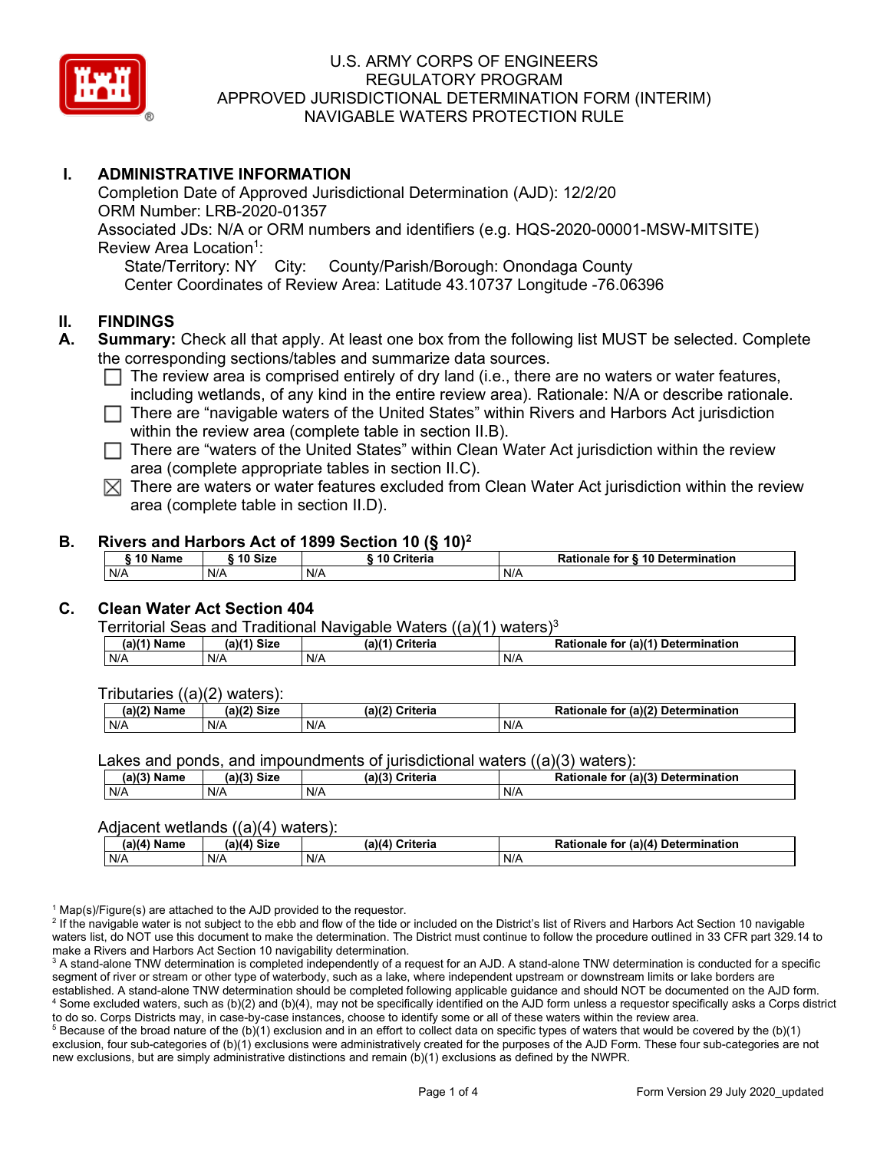

# **I. ADMINISTRATIVE INFORMATION**

Completion Date of Approved Jurisdictional Determination (AJD): 12/2/20 ORM Number: LRB-2020-01357 Associated JDs: N/A or ORM numbers and identifiers (e.g. HQS-2020-00001-MSW-MITSITE) Review Area Location<sup>1</sup>: State/Territory: NY City: County/Parish/Borough: Onondaga County Center Coordinates of Review Area: Latitude 43.10737 Longitude -76.06396

### **II. FINDINGS**

- **A. Summary:** Check all that apply. At least one box from the following list MUST be selected. Complete the corresponding sections/tables and summarize data sources.
	- $\Box$  The review area is comprised entirely of dry land (i.e., there are no waters or water features, including wetlands, of any kind in the entire review area). Rationale: N/A or describe rationale.
	- $\Box$  There are "navigable waters of the United States" within Rivers and Harbors Act jurisdiction within the review area (complete table in section II.B).
	- $\Box$  There are "waters of the United States" within Clean Water Act jurisdiction within the review area (complete appropriate tables in section II.C).
	- $\boxtimes$  There are waters or water features excluded from Clean Water Act jurisdiction within the review area (complete table in section II.D).

#### **B. Rivers and Harbors Act of 1899 Section 10 (§ 10)2**

| 10 Name | 10 Size | ີ 10 Criteria<br>ruerra | ⋅ § 10 Determination<br><b>Rationale for §</b> |
|---------|---------|-------------------------|------------------------------------------------|
| N/A     | N/A     | N/A                     | N/A                                            |

# **C. Clean Water Act Section 404**

Territorial Seas and Traditional Navigable Waters  $((a)(1)$  waters)<sup>3</sup>

| $(a)(1)$ .<br>Name | $(a)$ $(4)$<br>Size | (a)<br>Criteria | (a)(1) Determination<br>Rationale<br>for |
|--------------------|---------------------|-----------------|------------------------------------------|
| N/A                | N/A                 | N/A             | N/A                                      |

Tributaries ((a)(2) waters):

| н   | $\sim$<br>$\sim$ Cime<br>JILE | 21/2<br><br>пе | (2)<br><b>Determination</b><br>TOI<br>naie |
|-----|-------------------------------|----------------|--------------------------------------------|
| N/A | N/A                           | N/A            | N/A                                        |

Lakes and ponds, and impoundments of jurisdictional waters ((a)(3) waters):

| (a)(3) Name | $(a)(3)$ Size | (a)(2)<br>Criteria | Rationale<br>(2)<br><b>Determination</b><br>for |
|-------------|---------------|--------------------|-------------------------------------------------|
| N/A         | N/A           | N/A                | N/A                                             |

#### Adjacent wetlands ((a)(4) waters):

|               | .<br>.      |                 |                                    |
|---------------|-------------|-----------------|------------------------------------|
| $(a)(4)$ Name | (a)(4) Size | (a)(4) Criteria | Rationale for (a)(4) Determination |
| N/A           | N/A         | N/A             | N/A                                |

 $1$  Map(s)/Figure(s) are attached to the AJD provided to the requestor.

<sup>2</sup> If the navigable water is not subject to the ebb and flow of the tide or included on the District's list of Rivers and Harbors Act Section 10 navigable waters list, do NOT use this document to make the determination. The District must continue to follow the procedure outlined in 33 CFR part 329.14 to make a Rivers and Harbors Act Section 10 navigability determination.

<sup>3</sup> A stand-alone TNW determination is completed independently of a request for an AJD. A stand-alone TNW determination is conducted for a specific segment of river or stream or other type of waterbody, such as a lake, where independent upstream or downstream limits or lake borders are established. A stand-alone TNW determination should be completed following applicable guidance and should NOT be documented on the AJD form. <sup>4</sup> Some excluded waters, such as (b)(2) and (b)(4), may not be specifically identified on the AJD form unless a requestor specifically asks a Corps district to do so. Corps Districts may, in case-by-case instances, choose to identify some or all of these waters within the review area.

 $5$  Because of the broad nature of the (b)(1) exclusion and in an effort to collect data on specific types of waters that would be covered by the (b)(1) exclusion, four sub-categories of (b)(1) exclusions were administratively created for the purposes of the AJD Form. These four sub-categories are not new exclusions, but are simply administrative distinctions and remain (b)(1) exclusions as defined by the NWPR.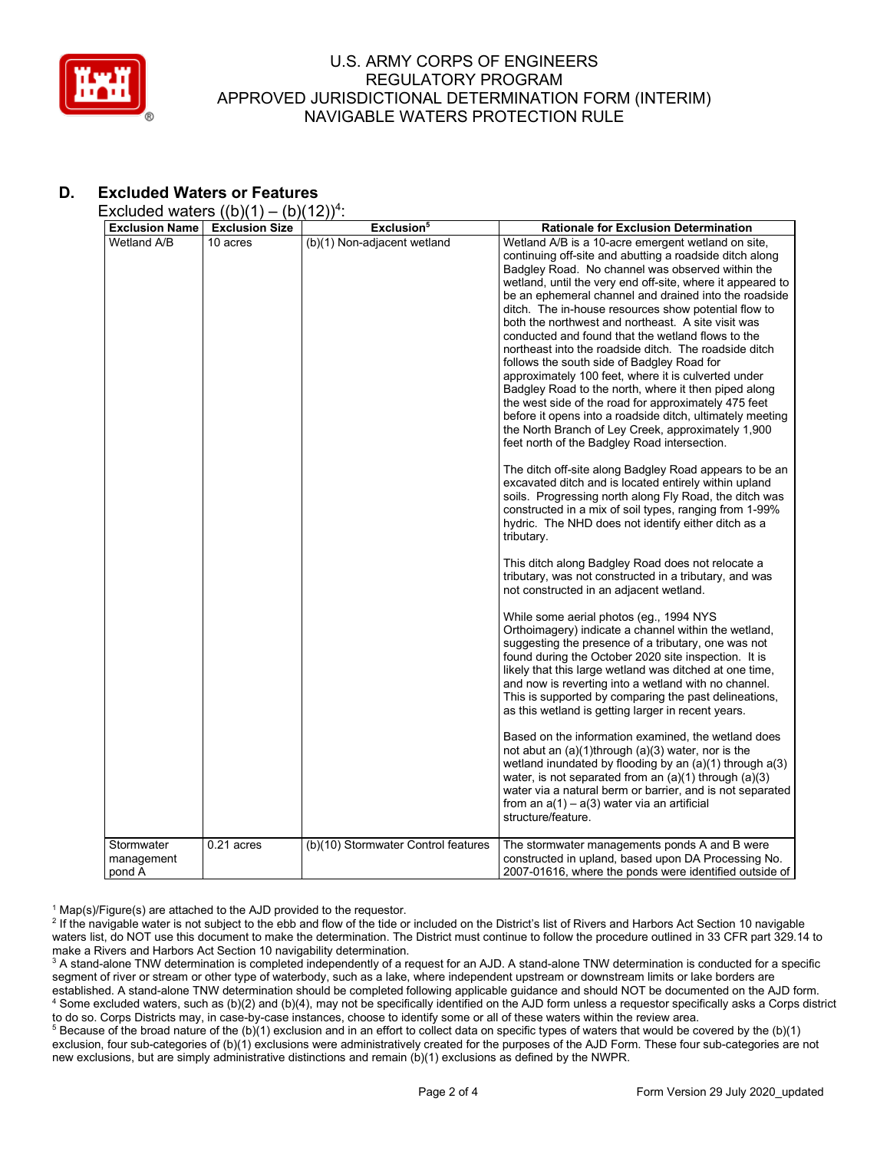

# **D. Excluded Waters or Features**

Excluded waters  $((b)(1) - (b)(12))^4$ :

| <b>Exclusion Name</b>    | <b>Exclusion Size</b> | Exclusion <sup>5</sup>              | <b>Rationale for Exclusion Determination</b>                                                                                                                                                                                                                                                                                                                                                                                                                                                                                                                                                                                                                                                                                                                                                                                                                                                                                                                                                                                                                                                                                                                                                                                                                                                                                                                                                                                                                                                                                                                                                                                                                                                                                                                                                                                                                                                                                                                                                                                                                                                                                                                                                                             |
|--------------------------|-----------------------|-------------------------------------|--------------------------------------------------------------------------------------------------------------------------------------------------------------------------------------------------------------------------------------------------------------------------------------------------------------------------------------------------------------------------------------------------------------------------------------------------------------------------------------------------------------------------------------------------------------------------------------------------------------------------------------------------------------------------------------------------------------------------------------------------------------------------------------------------------------------------------------------------------------------------------------------------------------------------------------------------------------------------------------------------------------------------------------------------------------------------------------------------------------------------------------------------------------------------------------------------------------------------------------------------------------------------------------------------------------------------------------------------------------------------------------------------------------------------------------------------------------------------------------------------------------------------------------------------------------------------------------------------------------------------------------------------------------------------------------------------------------------------------------------------------------------------------------------------------------------------------------------------------------------------------------------------------------------------------------------------------------------------------------------------------------------------------------------------------------------------------------------------------------------------------------------------------------------------------------------------------------------------|
| Wetland A/B              | 10 acres              | (b)(1) Non-adjacent wetland         | Wetland A/B is a 10-acre emergent wetland on site,<br>continuing off-site and abutting a roadside ditch along<br>Badgley Road. No channel was observed within the<br>wetland, until the very end off-site, where it appeared to<br>be an ephemeral channel and drained into the roadside<br>ditch. The in-house resources show potential flow to<br>both the northwest and northeast. A site visit was<br>conducted and found that the wetland flows to the<br>northeast into the roadside ditch. The roadside ditch<br>follows the south side of Badgley Road for<br>approximately 100 feet, where it is culverted under<br>Badgley Road to the north, where it then piped along<br>the west side of the road for approximately 475 feet<br>before it opens into a roadside ditch, ultimately meeting<br>the North Branch of Ley Creek, approximately 1,900<br>feet north of the Badgley Road intersection.<br>The ditch off-site along Badgley Road appears to be an<br>excavated ditch and is located entirely within upland<br>soils. Progressing north along Fly Road, the ditch was<br>constructed in a mix of soil types, ranging from 1-99%<br>hydric. The NHD does not identify either ditch as a<br>tributary.<br>This ditch along Badgley Road does not relocate a<br>tributary, was not constructed in a tributary, and was<br>not constructed in an adjacent wetland.<br>While some aerial photos (eg., 1994 NYS<br>Orthoimagery) indicate a channel within the wetland,<br>suggesting the presence of a tributary, one was not<br>found during the October 2020 site inspection. It is<br>likely that this large wetland was ditched at one time,<br>and now is reverting into a wetland with no channel.<br>This is supported by comparing the past delineations,<br>as this wetland is getting larger in recent years.<br>Based on the information examined, the wetland does<br>not abut an $(a)(1)$ through $(a)(3)$ water, nor is the<br>wetland inundated by flooding by an $(a)(1)$ through $a(3)$<br>water, is not separated from an $(a)(1)$ through $(a)(3)$<br>water via a natural berm or barrier, and is not separated<br>from an $a(1) - a(3)$ water via an artificial<br>structure/feature. |
| Stormwater<br>management | $0.21$ acres          | (b)(10) Stormwater Control features | The stormwater managements ponds A and B were<br>constructed in upland, based upon DA Processing No.                                                                                                                                                                                                                                                                                                                                                                                                                                                                                                                                                                                                                                                                                                                                                                                                                                                                                                                                                                                                                                                                                                                                                                                                                                                                                                                                                                                                                                                                                                                                                                                                                                                                                                                                                                                                                                                                                                                                                                                                                                                                                                                     |
| pond A                   |                       |                                     | 2007-01616, where the ponds were identified outside of                                                                                                                                                                                                                                                                                                                                                                                                                                                                                                                                                                                                                                                                                                                                                                                                                                                                                                                                                                                                                                                                                                                                                                                                                                                                                                                                                                                                                                                                                                                                                                                                                                                                                                                                                                                                                                                                                                                                                                                                                                                                                                                                                                   |

 $1$  Map(s)/Figure(s) are attached to the AJD provided to the requestor.

<sup>2</sup> If the navigable water is not subject to the ebb and flow of the tide or included on the District's list of Rivers and Harbors Act Section 10 navigable waters list, do NOT use this document to make the determination. The District must continue to follow the procedure outlined in 33 CFR part 329.14 to make a Rivers and Harbors Act Section 10 navigability determination.

<sup>3</sup> A stand-alone TNW determination is completed independently of a request for an AJD. A stand-alone TNW determination is conducted for a specific segment of river or stream or other type of waterbody, such as a lake, where independent upstream or downstream limits or lake borders are established. A stand-alone TNW determination should be completed following applicable guidance and should NOT be documented on the AJD form. <sup>4</sup> Some excluded waters, such as (b)(2) and (b)(4), may not be specifically identified on the AJD form unless a requestor specifically asks a Corps district to do so. Corps Districts may, in case-by-case instances, choose to identify some or all of these waters within the review area.

<sup>5</sup> Because of the broad nature of the (b)(1) exclusion and in an effort to collect data on specific types of waters that would be covered by the (b)(1) exclusion, four sub-categories of (b)(1) exclusions were administratively created for the purposes of the AJD Form. These four sub-categories are not new exclusions, but are simply administrative distinctions and remain (b)(1) exclusions as defined by the NWPR.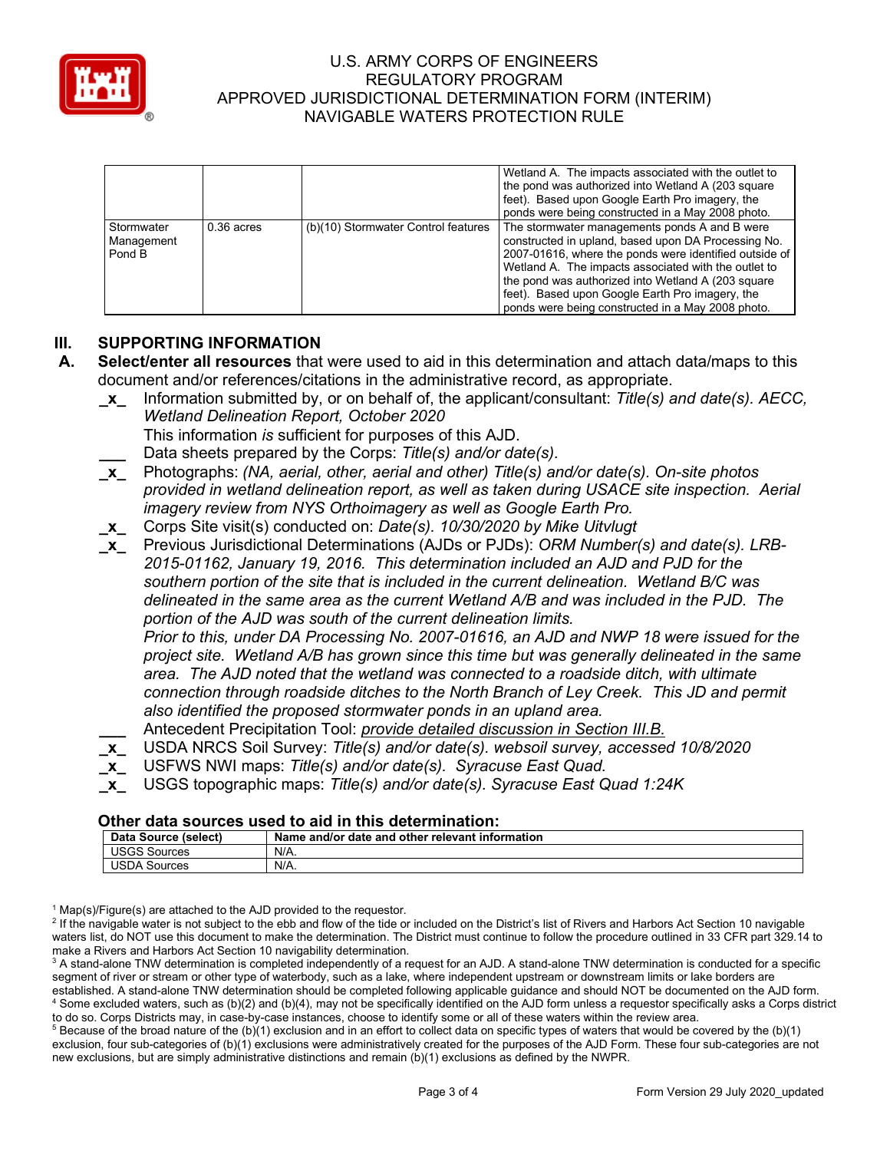

|                                    |              |                                     | Wetland A. The impacts associated with the outlet to<br>the pond was authorized into Wetland A (203 square<br>feet). Based upon Google Earth Pro imagery, the<br>ponds were being constructed in a May 2008 photo.                                                                                                                                                                   |
|------------------------------------|--------------|-------------------------------------|--------------------------------------------------------------------------------------------------------------------------------------------------------------------------------------------------------------------------------------------------------------------------------------------------------------------------------------------------------------------------------------|
| Stormwater<br>Management<br>Pond B | $0.36$ acres | (b)(10) Stormwater Control features | The stormwater managements ponds A and B were<br>constructed in upland, based upon DA Processing No.<br>2007-01616, where the ponds were identified outside of<br>Wetland A. The impacts associated with the outlet to<br>the pond was authorized into Wetland A (203 square<br>feet). Based upon Google Earth Pro imagery, the<br>ponds were being constructed in a May 2008 photo. |

# **III. SUPPORTING INFORMATION**

- **A. Select/enter all resources** that were used to aid in this determination and attach data/maps to this document and/or references/citations in the administrative record, as appropriate.
	- **\_x\_** Information submitted by, or on behalf of, the applicant/consultant: *Title(s) and date(s). AECC, Wetland Delineation Report, October 2020*

This information *is* sufficient for purposes of this AJD.

- **\_\_\_** Data sheets prepared by the Corps: *Title(s) and/or date(s).*
- **\_x\_** Photographs: *(NA, aerial, other, aerial and other) Title(s) and/or date(s). On-site photos provided in wetland delineation report, as well as taken during USACE site inspection. Aerial imagery review from NYS Orthoimagery as well as Google Earth Pro.*
- **\_x\_** Corps Site visit(s) conducted on: *Date(s). 10/30/2020 by Mike Uitvlugt*
- **\_x\_** Previous Jurisdictional Determinations (AJDs or PJDs): *ORM Number(s) and date(s). LRB-2015-01162, January 19, 2016. This determination included an AJD and PJD for the southern portion of the site that is included in the current delineation. Wetland B/C was delineated in the same area as the current Wetland A/B and was included in the PJD. The portion of the AJD was south of the current delineation limits. Prior to this, under DA Processing No. 2007-01616, an AJD and NWP 18 were issued for the project site. Wetland A/B has grown since this time but was generally delineated in the same area. The AJD noted that the wetland was connected to a roadside ditch, with ultimate connection through roadside ditches to the North Branch of Ley Creek. This JD and permit also identified the proposed stormwater ponds in an upland area.*
	- **\_\_\_** Antecedent Precipitation Tool: *provide detailed discussion in Section III.B.*
- **\_x\_** USDA NRCS Soil Survey: *Title(s) and/or date(s). websoil survey, accessed 10/8/2020*
- **\_x\_** USFWS NWI maps: *Title(s) and/or date(s). Syracuse East Quad.*
- **\_x\_** USGS topographic maps: *Title(s) and/or date(s). Syracuse East Quad 1:24K*

### **Other data sources used to aid in this determination:**

| Data.<br>S<br>(select)<br>oource | date<br>∵relevant<br>. information<br>other<br>Name .<br>and<br>and/or a |
|----------------------------------|--------------------------------------------------------------------------|
| 1000<br>Sources                  | N/A.                                                                     |
| 10D<br>Sources<br>'SDA           | N/A.                                                                     |

 $1$  Map(s)/Figure(s) are attached to the AJD provided to the requestor.

<sup>2</sup> If the navigable water is not subject to the ebb and flow of the tide or included on the District's list of Rivers and Harbors Act Section 10 navigable waters list, do NOT use this document to make the determination. The District must continue to follow the procedure outlined in 33 CFR part 329.14 to make a Rivers and Harbors Act Section 10 navigability determination.

<sup>3</sup> A stand-alone TNW determination is completed independently of a request for an AJD. A stand-alone TNW determination is conducted for a specific segment of river or stream or other type of waterbody, such as a lake, where independent upstream or downstream limits or lake borders are established. A stand-alone TNW determination should be completed following applicable guidance and should NOT be documented on the AJD form. <sup>4</sup> Some excluded waters, such as (b)(2) and (b)(4), may not be specifically identified on the AJD form unless a requestor specifically asks a Corps district to do so. Corps Districts may, in case-by-case instances, choose to identify some or all of these waters within the review area.

 $5$  Because of the broad nature of the (b)(1) exclusion and in an effort to collect data on specific types of waters that would be covered by the (b)(1) exclusion, four sub-categories of (b)(1) exclusions were administratively created for the purposes of the AJD Form. These four sub-categories are not new exclusions, but are simply administrative distinctions and remain (b)(1) exclusions as defined by the NWPR.